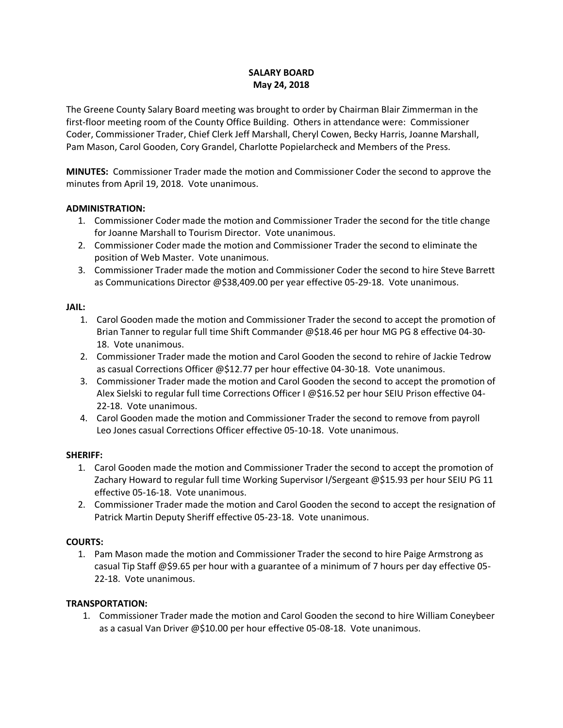## **SALARY BOARD May 24, 2018**

The Greene County Salary Board meeting was brought to order by Chairman Blair Zimmerman in the first-floor meeting room of the County Office Building. Others in attendance were: Commissioner Coder, Commissioner Trader, Chief Clerk Jeff Marshall, Cheryl Cowen, Becky Harris, Joanne Marshall, Pam Mason, Carol Gooden, Cory Grandel, Charlotte Popielarcheck and Members of the Press.

**MINUTES:** Commissioner Trader made the motion and Commissioner Coder the second to approve the minutes from April 19, 2018. Vote unanimous.

### **ADMINISTRATION:**

- 1. Commissioner Coder made the motion and Commissioner Trader the second for the title change for Joanne Marshall to Tourism Director. Vote unanimous.
- 2. Commissioner Coder made the motion and Commissioner Trader the second to eliminate the position of Web Master. Vote unanimous.
- 3. Commissioner Trader made the motion and Commissioner Coder the second to hire Steve Barrett as Communications Director @\$38,409.00 per year effective 05-29-18. Vote unanimous.

### **JAIL:**

- 1. Carol Gooden made the motion and Commissioner Trader the second to accept the promotion of Brian Tanner to regular full time Shift Commander @\$18.46 per hour MG PG 8 effective 04-30- 18. Vote unanimous.
- 2. Commissioner Trader made the motion and Carol Gooden the second to rehire of Jackie Tedrow as casual Corrections Officer @\$12.77 per hour effective 04-30-18. Vote unanimous.
- 3. Commissioner Trader made the motion and Carol Gooden the second to accept the promotion of Alex Sielski to regular full time Corrections Officer I @\$16.52 per hour SEIU Prison effective 04- 22-18. Vote unanimous.
- 4. Carol Gooden made the motion and Commissioner Trader the second to remove from payroll Leo Jones casual Corrections Officer effective 05-10-18. Vote unanimous.

# **SHERIFF:**

- 1. Carol Gooden made the motion and Commissioner Trader the second to accept the promotion of Zachary Howard to regular full time Working Supervisor I/Sergeant @\$15.93 per hour SEIU PG 11 effective 05-16-18. Vote unanimous.
- 2. Commissioner Trader made the motion and Carol Gooden the second to accept the resignation of Patrick Martin Deputy Sheriff effective 05-23-18. Vote unanimous.

# **COURTS:**

1. Pam Mason made the motion and Commissioner Trader the second to hire Paige Armstrong as casual Tip Staff @\$9.65 per hour with a guarantee of a minimum of 7 hours per day effective 05- 22-18. Vote unanimous.

# **TRANSPORTATION:**

1. Commissioner Trader made the motion and Carol Gooden the second to hire William Coneybeer as a casual Van Driver @\$10.00 per hour effective 05-08-18. Vote unanimous.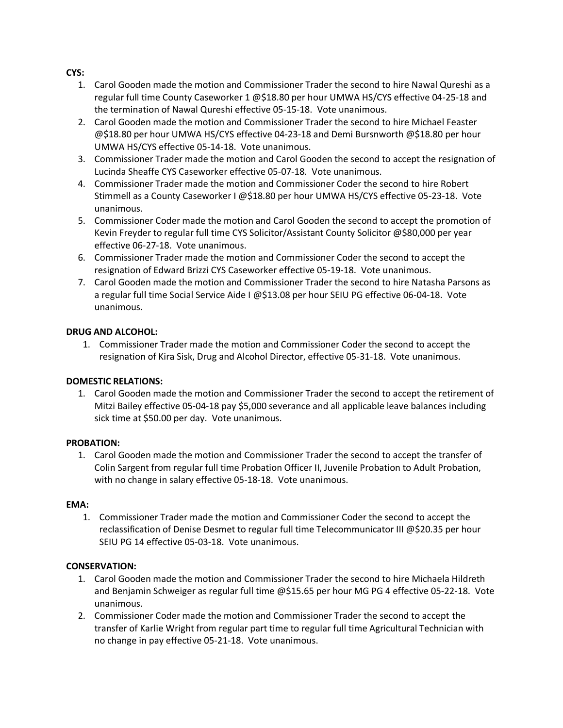## **CYS:**

- 1. Carol Gooden made the motion and Commissioner Trader the second to hire Nawal Qureshi as a regular full time County Caseworker 1 @\$18.80 per hour UMWA HS/CYS effective 04-25-18 and the termination of Nawal Qureshi effective 05-15-18. Vote unanimous.
- 2. Carol Gooden made the motion and Commissioner Trader the second to hire Michael Feaster @\$18.80 per hour UMWA HS/CYS effective 04-23-18 and Demi Bursnworth @\$18.80 per hour UMWA HS/CYS effective 05-14-18. Vote unanimous.
- 3. Commissioner Trader made the motion and Carol Gooden the second to accept the resignation of Lucinda Sheaffe CYS Caseworker effective 05-07-18. Vote unanimous.
- 4. Commissioner Trader made the motion and Commissioner Coder the second to hire Robert Stimmell as a County Caseworker I @\$18.80 per hour UMWA HS/CYS effective 05-23-18. Vote unanimous.
- 5. Commissioner Coder made the motion and Carol Gooden the second to accept the promotion of Kevin Freyder to regular full time CYS Solicitor/Assistant County Solicitor @\$80,000 per year effective 06-27-18. Vote unanimous.
- 6. Commissioner Trader made the motion and Commissioner Coder the second to accept the resignation of Edward Brizzi CYS Caseworker effective 05-19-18. Vote unanimous.
- 7. Carol Gooden made the motion and Commissioner Trader the second to hire Natasha Parsons as a regular full time Social Service Aide I @\$13.08 per hour SEIU PG effective 06-04-18. Vote unanimous.

### **DRUG AND ALCOHOL:**

1. Commissioner Trader made the motion and Commissioner Coder the second to accept the resignation of Kira Sisk, Drug and Alcohol Director, effective 05-31-18. Vote unanimous.

# **DOMESTIC RELATIONS:**

1. Carol Gooden made the motion and Commissioner Trader the second to accept the retirement of Mitzi Bailey effective 05-04-18 pay \$5,000 severance and all applicable leave balances including sick time at \$50.00 per day. Vote unanimous.

# **PROBATION:**

1. Carol Gooden made the motion and Commissioner Trader the second to accept the transfer of Colin Sargent from regular full time Probation Officer II, Juvenile Probation to Adult Probation, with no change in salary effective 05-18-18. Vote unanimous.

#### **EMA:**

1. Commissioner Trader made the motion and Commissioner Coder the second to accept the reclassification of Denise Desmet to regular full time Telecommunicator III @\$20.35 per hour SEIU PG 14 effective 05-03-18. Vote unanimous.

#### **CONSERVATION:**

- 1. Carol Gooden made the motion and Commissioner Trader the second to hire Michaela Hildreth and Benjamin Schweiger as regular full time @\$15.65 per hour MG PG 4 effective 05-22-18. Vote unanimous.
- 2. Commissioner Coder made the motion and Commissioner Trader the second to accept the transfer of Karlie Wright from regular part time to regular full time Agricultural Technician with no change in pay effective 05-21-18. Vote unanimous.